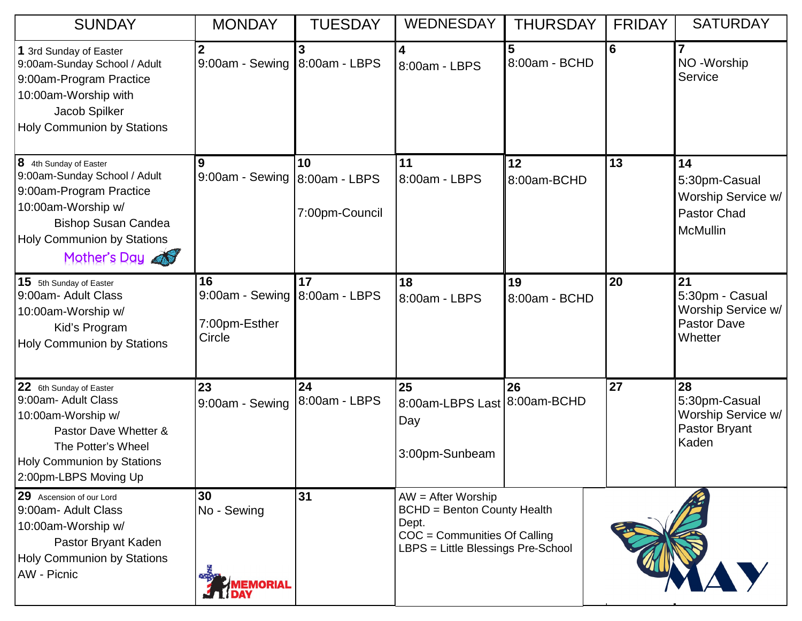| <b>SUNDAY</b>                                                                                                                                                                              | <b>MONDAY</b>                                                      | <b>TUESDAY</b>                        | <b>WEDNESDAY</b>                                                                                                                          | <b>THURSDAY</b>     | <b>FRIDAY</b> | <b>SATURDAY</b>                                                              |
|--------------------------------------------------------------------------------------------------------------------------------------------------------------------------------------------|--------------------------------------------------------------------|---------------------------------------|-------------------------------------------------------------------------------------------------------------------------------------------|---------------------|---------------|------------------------------------------------------------------------------|
| 1 3rd Sunday of Easter<br>9:00am-Sunday School / Adult<br>9:00am-Program Practice<br>10:00am-Worship with<br>Jacob Spilker<br><b>Holy Communion by Stations</b>                            | 2<br>9:00am - Sewing 8:00am - LBPS                                 |                                       | 4<br>8:00am - LBPS                                                                                                                        | 5<br>8:00am - BCHD  | 6             | NO -Worship<br>Service                                                       |
| 8 4th Sunday of Easter<br>9:00am-Sunday School / Adult<br>9:00am-Program Practice<br>10:00am-Worship w/<br><b>Bishop Susan Candea</b><br><b>Holy Communion by Stations</b><br>Mother's Day | 9<br>9:00am - Sewing                                               | 10<br>8:00am - LBPS<br>7:00pm-Council | <b>11</b><br>18:00am - LBPS                                                                                                               | 12<br>8:00am-BCHD   | 13            | 14<br>5:30pm-Casual<br>Worship Service w/<br>Pastor Chad<br><b>McMullin</b>  |
| 15 5th Sunday of Easter<br>9:00am- Adult Class<br>10:00am-Worship w/<br>Kid's Program<br><b>Holy Communion by Stations</b>                                                                 | 16<br>$9.00am -$ Sewing $8.00am - LBPS$<br>7:00pm-Esther<br>Circle | 17                                    | 18<br>8:00am - LBPS                                                                                                                       | 19<br>8:00am - BCHD | 20            | 21<br>5:30pm - Casual<br>Worship Service w/<br><b>Pastor Dave</b><br>Whetter |
| 22 6th Sunday of Easter<br>9:00am- Adult Class<br>10:00am-Worship w/<br>Pastor Dave Whetter &<br>The Potter's Wheel<br>Holy Communion by Stations<br>2:00pm-LBPS Moving Up                 | 23<br>9:00am - Sewing                                              | 24<br>8:00am - LBPS                   | 25<br>8:00am-LBPS Last 8:00am-BCHD<br>Day<br>3:00pm-Sunbeam                                                                               | 26                  | 27            | 28<br>5:30pm-Casual<br>Worship Service w/<br>Pastor Bryant<br>Kaden          |
| 29 Ascension of our Lord<br>9:00am- Adult Class<br>10:00am-Worship w/<br>Pastor Bryant Kaden<br><b>Holy Communion by Stations</b><br><b>AW</b> - Picnic                                    | 30<br>No - Sewing<br><b>MEMORIAL</b>                               | 31                                    | $AW = After Working$<br><b>BCHD</b> = Benton County Health<br>Dept.<br>COC = Communities Of Calling<br>LBPS = Little Blessings Pre-School |                     |               |                                                                              |